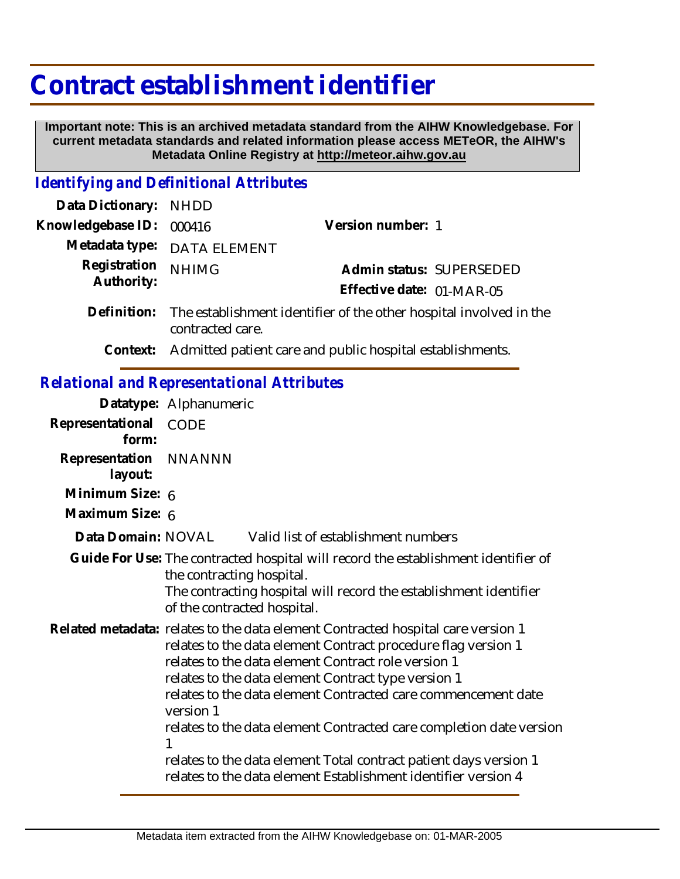## **Contract establishment identifier**

 **Important note: This is an archived metadata standard from the AIHW Knowledgebase. For current metadata standards and related information please access METeOR, the AIHW's Metadata Online Registry at http://meteor.aihw.gov.au**

## *Identifying and Definitional Attributes*

| <b>NHDD</b>                                                                                                                                                                                                                                                                                                                                                                                                              |                                                                                                                                                                                                                                                                                                                                                                                                  |
|--------------------------------------------------------------------------------------------------------------------------------------------------------------------------------------------------------------------------------------------------------------------------------------------------------------------------------------------------------------------------------------------------------------------------|--------------------------------------------------------------------------------------------------------------------------------------------------------------------------------------------------------------------------------------------------------------------------------------------------------------------------------------------------------------------------------------------------|
| Version number: 1<br>000416                                                                                                                                                                                                                                                                                                                                                                                              |                                                                                                                                                                                                                                                                                                                                                                                                  |
| <b>DATA ELEMENT</b>                                                                                                                                                                                                                                                                                                                                                                                                      |                                                                                                                                                                                                                                                                                                                                                                                                  |
| <b>NHIMG</b>                                                                                                                                                                                                                                                                                                                                                                                                             |                                                                                                                                                                                                                                                                                                                                                                                                  |
| contracted care.                                                                                                                                                                                                                                                                                                                                                                                                         |                                                                                                                                                                                                                                                                                                                                                                                                  |
|                                                                                                                                                                                                                                                                                                                                                                                                                          |                                                                                                                                                                                                                                                                                                                                                                                                  |
| <b>Relational and Representational Attributes</b>                                                                                                                                                                                                                                                                                                                                                                        |                                                                                                                                                                                                                                                                                                                                                                                                  |
| Datatype: Alphanumeric                                                                                                                                                                                                                                                                                                                                                                                                   |                                                                                                                                                                                                                                                                                                                                                                                                  |
| <b>CODE</b>                                                                                                                                                                                                                                                                                                                                                                                                              |                                                                                                                                                                                                                                                                                                                                                                                                  |
| <b>NNANNN</b>                                                                                                                                                                                                                                                                                                                                                                                                            |                                                                                                                                                                                                                                                                                                                                                                                                  |
| Minimum Size: 6                                                                                                                                                                                                                                                                                                                                                                                                          |                                                                                                                                                                                                                                                                                                                                                                                                  |
| Maximum Size: 6                                                                                                                                                                                                                                                                                                                                                                                                          |                                                                                                                                                                                                                                                                                                                                                                                                  |
| Data Domain: NOVAL<br>Valid list of establishment numbers                                                                                                                                                                                                                                                                                                                                                                |                                                                                                                                                                                                                                                                                                                                                                                                  |
| Guide For Use: The contracted hospital will record the establishment identifier of<br>the contracting hospital.<br>of the contracted hospital.                                                                                                                                                                                                                                                                           |                                                                                                                                                                                                                                                                                                                                                                                                  |
| Related metadata: relates to the data element Contracted hospital care version 1<br>relates to the data element Contract procedure flag version 1<br>relates to the data element Contract role version 1<br>relates to the data element Contract type version 1<br>version 1<br>relates to the data element Contracted care completion date version<br>relates to the data element Total contract patient days version 1 |                                                                                                                                                                                                                                                                                                                                                                                                  |
|                                                                                                                                                                                                                                                                                                                                                                                                                          | Admin status: SUPERSEDED<br>Effective date: 01-MAR-05<br>The establishment identifier of the other hospital involved in the<br>Admitted patient care and public hospital establishments.<br>The contracting hospital will record the establishment identifier<br>relates to the data element Contracted care commencement date<br>relates to the data element Establishment identifier version 4 |